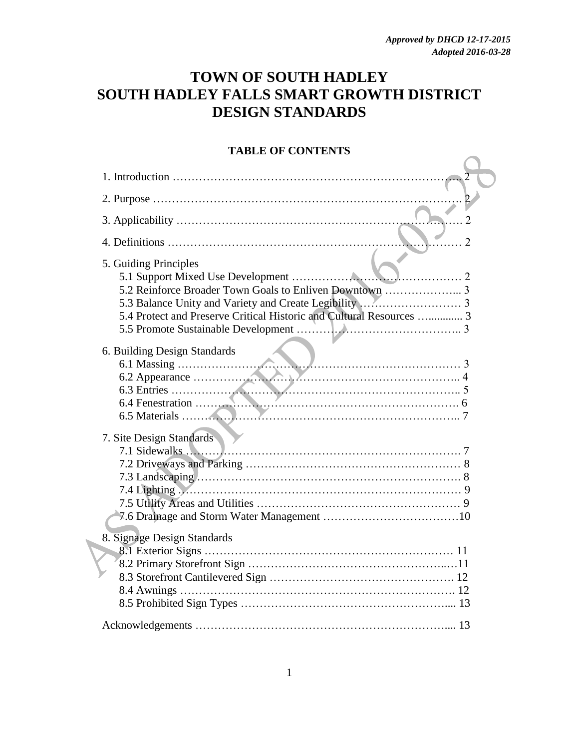## **TOWN OF SOUTH HADLEY SOUTH HADLEY FALLS SMART GROWTH DISTRICT DESIGN STANDARDS**

#### **TABLE OF CONTENTS**

| . 2                                                                                                            |
|----------------------------------------------------------------------------------------------------------------|
| 5. Guiding Principles                                                                                          |
|                                                                                                                |
|                                                                                                                |
|                                                                                                                |
| 5.4 Protect and Preserve Critical Historic and Cultural Resources  3                                           |
|                                                                                                                |
|                                                                                                                |
| 6. Building Design Standards                                                                                   |
|                                                                                                                |
|                                                                                                                |
|                                                                                                                |
|                                                                                                                |
|                                                                                                                |
| 7. Site Design Standards                                                                                       |
|                                                                                                                |
|                                                                                                                |
|                                                                                                                |
| 7.4 Lighting Manuscript (2008) 7.4 Lighting Manuscript (2008) 7.4 Lighting Manuscript (2008) 7.4 Lighting (200 |
|                                                                                                                |
|                                                                                                                |
| 8. Signage Design Standards                                                                                    |
|                                                                                                                |
|                                                                                                                |
|                                                                                                                |
|                                                                                                                |
|                                                                                                                |
|                                                                                                                |

 $\overline{\phantom{a}}$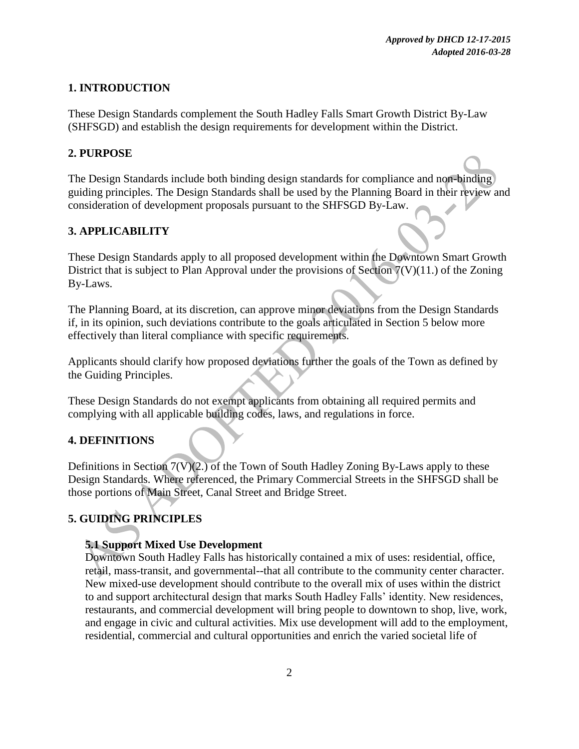## **1. INTRODUCTION**

These Design Standards complement the South Hadley Falls Smart Growth District By-Law (SHFSGD) and establish the design requirements for development within the District.

## **2. PURPOSE**

The Design Standards include both binding design standards for compliance and non-binding guiding principles. The Design Standards shall be used by the Planning Board in their review and consideration of development proposals pursuant to the SHFSGD By-Law.

## **3. APPLICABILITY**

These Design Standards apply to all proposed development within the Downtown Smart Growth District that is subject to Plan Approval under the provisions of Section 7(V)(11.) of the Zoning By-Laws.

The Planning Board, at its discretion, can approve minor deviations from the Design Standards if, in its opinion, such deviations contribute to the goals articulated in Section 5 below more effectively than literal compliance with specific requirements.

Applicants should clarify how proposed deviations further the goals of the Town as defined by the Guiding Principles.

These Design Standards do not exempt applicants from obtaining all required permits and complying with all applicable building codes, laws, and regulations in force.

## **4. DEFINITIONS**

Definitions in Section 7(V)(2.) of the Town of South Hadley Zoning By-Laws apply to these Design Standards. Where referenced, the Primary Commercial Streets in the SHFSGD shall be those portions of Main Street, Canal Street and Bridge Street.

## **5. GUIDING PRINCIPLES**

## **5.1 Support Mixed Use Development**

Downtown South Hadley Falls has historically contained a mix of uses: residential, office, retail, mass-transit, and governmental--that all contribute to the community center character. New mixed-use development should contribute to the overall mix of uses within the district to and support architectural design that marks South Hadley Falls' identity. New residences, restaurants, and commercial development will bring people to downtown to shop, live, work, and engage in civic and cultural activities. Mix use development will add to the employment, residential, commercial and cultural opportunities and enrich the varied societal life of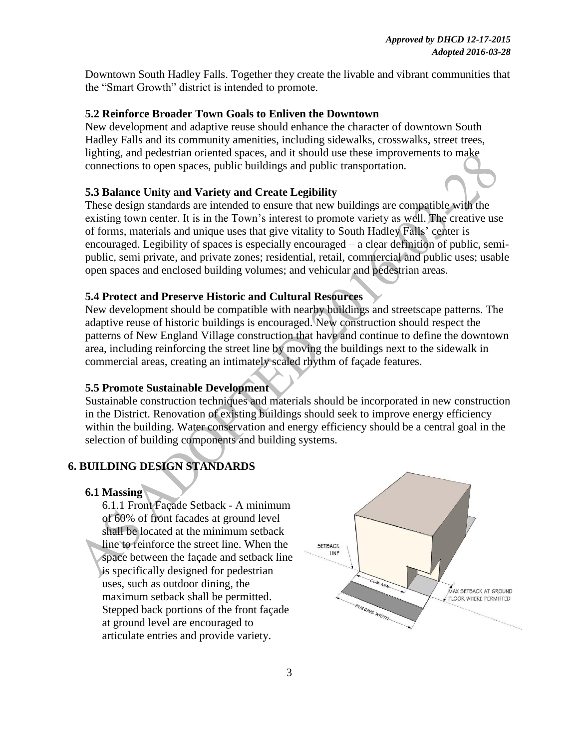Downtown South Hadley Falls. Together they create the livable and vibrant communities that the "Smart Growth" district is intended to promote.

#### **5.2 Reinforce Broader Town Goals to Enliven the Downtown**

New development and adaptive reuse should enhance the character of downtown South Hadley Falls and its community amenities, including sidewalks, crosswalks, street trees, lighting, and pedestrian oriented spaces, and it should use these improvements to make connections to open spaces, public buildings and public transportation.

#### **5.3 Balance Unity and Variety and Create Legibility**

These design standards are intended to ensure that new buildings are compatible with the existing town center. It is in the Town's interest to promote variety as well. The creative use of forms, materials and unique uses that give vitality to South Hadley Falls' center is encouraged. Legibility of spaces is especially encouraged – a clear definition of public, semipublic, semi private, and private zones; residential, retail, commercial and public uses; usable open spaces and enclosed building volumes; and vehicular and pedestrian areas.

## **5.4 Protect and Preserve Historic and Cultural Resources**

New development should be compatible with nearby buildings and streetscape patterns. The adaptive reuse of historic buildings is encouraged. New construction should respect the patterns of New England Village construction that have and continue to define the downtown area, including reinforcing the street line by moving the buildings next to the sidewalk in commercial areas, creating an intimately scaled rhythm of façade features.

#### **5.5 Promote Sustainable Development**

Sustainable construction techniques and materials should be incorporated in new construction in the District. Renovation of existing buildings should seek to improve energy efficiency within the building. Water conservation and energy efficiency should be a central goal in the selection of building components and building systems.

## **6. BUILDING DESIGN STANDARDS**

#### **6.1 Massing**

6.1.1 Front Façade Setback - A minimum of 60% of front facades at ground level shall be located at the minimum setback line to reinforce the street line. When the space between the façade and setback line is specifically designed for pedestrian uses, such as outdoor dining, the maximum setback shall be permitted. Stepped back portions of the front façade at ground level are encouraged to articulate entries and provide variety.

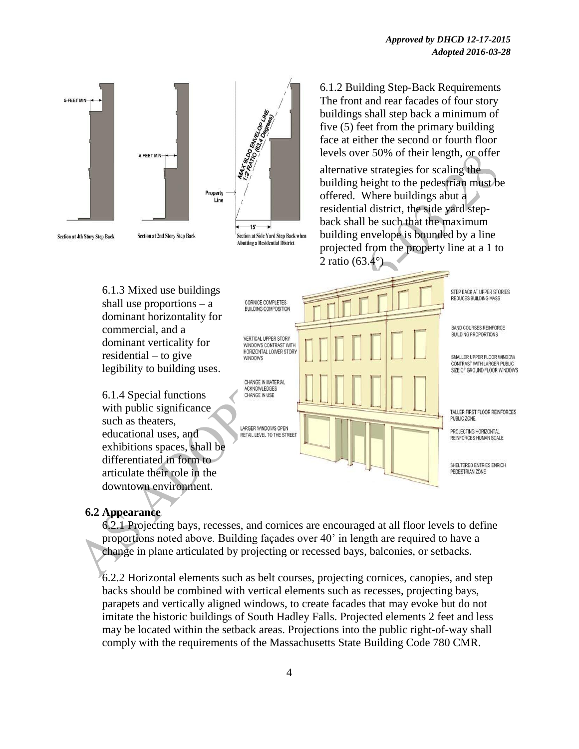

## **6.2 Appearance**

6.2.1 Projecting bays, recesses, and cornices are encouraged at all floor levels to define proportions noted above. Building façades over 40' in length are required to have a change in plane articulated by projecting or recessed bays, balconies, or setbacks.

6.2.2 Horizontal elements such as belt courses, projecting cornices, canopies, and step backs should be combined with vertical elements such as recesses, projecting bays, parapets and vertically aligned windows, to create facades that may evoke but do not imitate the historic buildings of South Hadley Falls. Projected elements 2 feet and less may be located within the setback areas. Projections into the public right-of-way shall comply with the requirements of the Massachusetts State Building Code 780 CMR.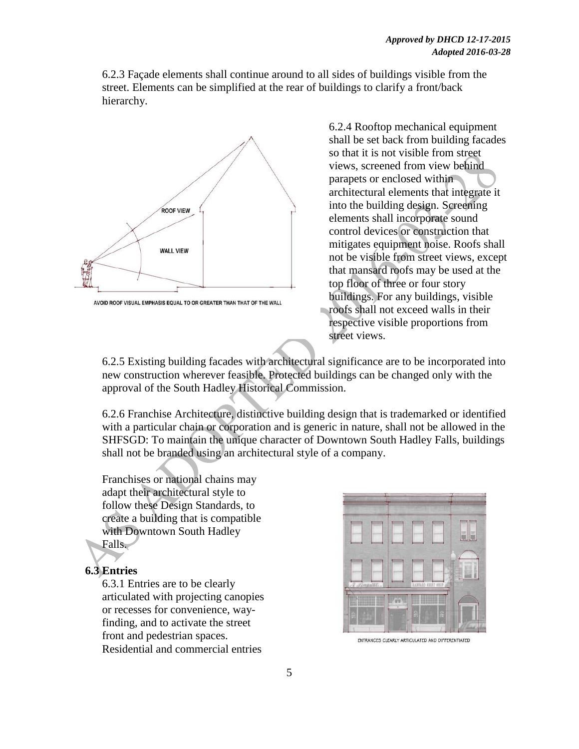6.2.3 Façade elements shall continue around to all sides of buildings visible from the street. Elements can be simplified at the rear of buildings to clarify a front/back hierarchy.



AVOID ROOF VISUAL EMPHASIS EQUAL TO OR GREATER THAN THAT OF THE WALL

6.2.4 Rooftop mechanical equipment shall be set back from building facades so that it is not visible from street views, screened from view behind parapets or enclosed within architectural elements that integrate it into the building design. Screening elements shall incorporate sound control devices or construction that mitigates equipment noise. Roofs shall not be visible from street views, except that mansard roofs may be used at the top floor of three or four story buildings. For any buildings, visible roofs shall not exceed walls in their respective visible proportions from street views.

6.2.5 Existing building facades with architectural significance are to be incorporated into new construction wherever feasible. Protected buildings can be changed only with the approval of the South Hadley Historical Commission.

6.2.6 Franchise Architecture, distinctive building design that is trademarked or identified with a particular chain or corporation and is generic in nature, shall not be allowed in the SHFSGD: To maintain the unique character of Downtown South Hadley Falls, buildings shall not be branded using an architectural style of a company.

Franchises or national chains may adapt their architectural style to follow these Design Standards, to create a building that is compatible with Downtown South Hadley Falls.

# **6.3 Entries**

6.3.1 Entries are to be clearly articulated with projecting canopies or recesses for convenience, wayfinding, and to activate the street front and pedestrian spaces. Residential and commercial entries



ENTRANCES CLEARLY ARTICULATED AND DIFFERENTIATED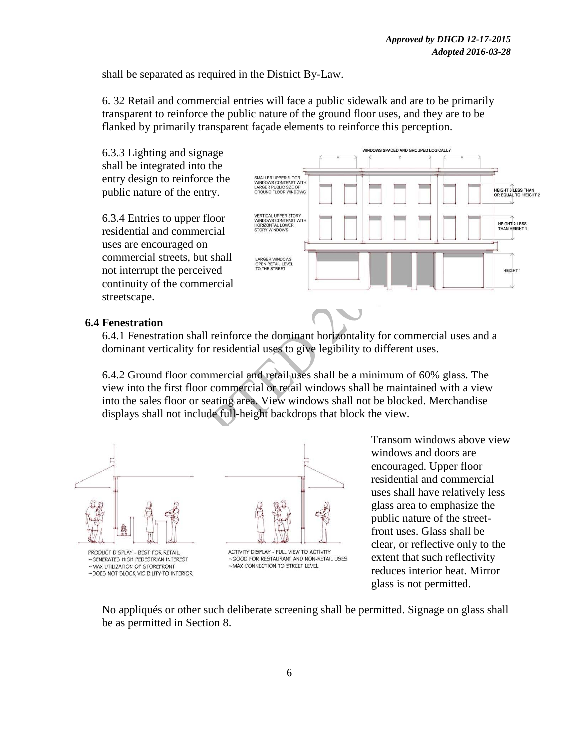shall be separated as required in the District By-Law.

6. 32 Retail and commercial entries will face a public sidewalk and are to be primarily transparent to reinforce the public nature of the ground floor uses, and they are to be flanked by primarily transparent façade elements to reinforce this perception.

6.3.3 Lighting and signage shall be integrated into the entry design to reinforce the public nature of the entry.

6.3.4 Entries to upper floor residential and commercial uses are encouraged on commercial streets, but shall not interrupt the perceived continuity of the commercial streetscape.



#### **6.4 Fenestration**

6.4.1 Fenestration shall reinforce the dominant horizontality for commercial uses and a dominant verticality for residential uses to give legibility to different uses.

6.4.2 Ground floor commercial and retail uses shall be a minimum of 60% glass. The view into the first floor commercial or retail windows shall be maintained with a view into the sales floor or seating area. View windows shall not be blocked. Merchandise displays shall not include full-height backdrops that block the view.



Transom windows above view windows and doors are encouraged. Upper floor residential and commercial uses shall have relatively less glass area to emphasize the public nature of the streetfront uses. Glass shall be clear, or reflective only to the extent that such reflectivity reduces interior heat. Mirror glass is not permitted.

No appliqués or other such deliberate screening shall be permitted. Signage on glass shall be as permitted in Section 8.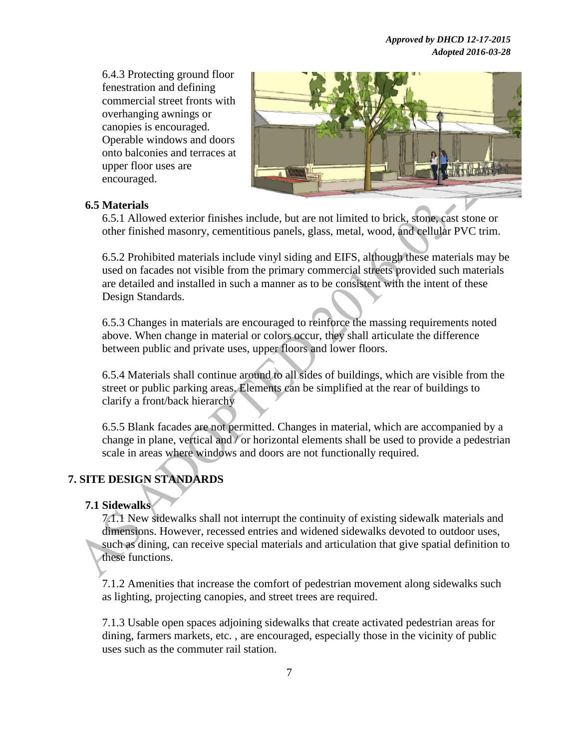*Approved by DHCD 12-17-2015 Adopted 2016-03-28*

6.4.3 Protecting ground floor fenestration and defining commercial street fronts with overhanging awnings or canopies is encouraged. Operable windows and doors onto balconies and terraces at upper floor uses are encouraged.



#### **6.5 Materials**

6.5.1 Allowed exterior finishes include, but are not limited to brick, stone, cast stone or other finished masonry, cementitious panels, glass, metal, wood, and cellular PVC trim.

6.5.2 Prohibited materials include vinyl siding and EIFS, although these materials may be used on facades not visible from the primary commercial streets provided such materials are detailed and installed in such a manner as to be consistent with the intent of these Design Standards.

6.5.3 Changes in materials are encouraged to reinforce the massing requirements noted above. When change in material or colors occur, they shall articulate the difference between public and private uses, upper floors and lower floors.

6.5.4 Materials shall continue around to all sides of buildings, which are visible from the street or public parking areas. Elements can be simplified at the rear of buildings to clarify a front/back hierarchy

6.5.5 Blank facades are not permitted. Changes in material, which are accompanied by a change in plane, vertical and / or horizontal elements shall be used to provide a pedestrian scale in areas where windows and doors are not functionally required.

## **7. SITE DESIGN STANDARDS**

## **7.1 Sidewalks**

7.1.1 New sidewalks shall not interrupt the continuity of existing sidewalk materials and dimensions. However, recessed entries and widened sidewalks devoted to outdoor uses, such as dining, can receive special materials and articulation that give spatial definition to these functions.

7.1.2 Amenities that increase the comfort of pedestrian movement along sidewalks such as lighting, projecting canopies, and street trees are required.

7.1.3 Usable open spaces adjoining sidewalks that create activated pedestrian areas for dining, farmers markets, etc. , are encouraged, especially those in the vicinity of public uses such as the commuter rail station.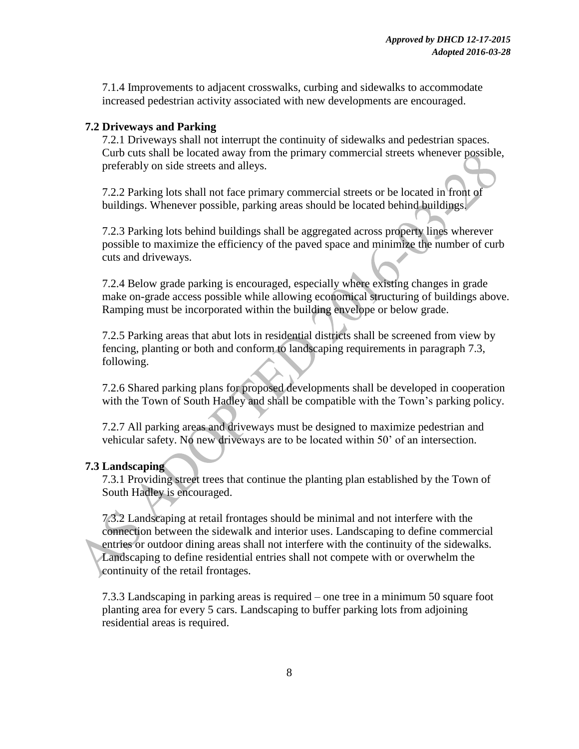7.1.4 Improvements to adjacent crosswalks, curbing and sidewalks to accommodate increased pedestrian activity associated with new developments are encouraged.

#### **7.2 Driveways and Parking**

7.2.1 Driveways shall not interrupt the continuity of sidewalks and pedestrian spaces. Curb cuts shall be located away from the primary commercial streets whenever possible, preferably on side streets and alleys.

7.2.2 Parking lots shall not face primary commercial streets or be located in front of buildings. Whenever possible, parking areas should be located behind buildings.

7.2.3 Parking lots behind buildings shall be aggregated across property lines wherever possible to maximize the efficiency of the paved space and minimize the number of curb cuts and driveways.

7.2.4 Below grade parking is encouraged, especially where existing changes in grade make on-grade access possible while allowing economical structuring of buildings above. Ramping must be incorporated within the building envelope or below grade.

7.2.5 Parking areas that abut lots in residential districts shall be screened from view by fencing, planting or both and conform to landscaping requirements in paragraph 7.3, following.

7.2.6 Shared parking plans for proposed developments shall be developed in cooperation with the Town of South Hadley and shall be compatible with the Town's parking policy.

7.2.7 All parking areas and driveways must be designed to maximize pedestrian and vehicular safety. No new driveways are to be located within 50' of an intersection.

#### **7.3 Landscaping**

7.3.1 Providing street trees that continue the planting plan established by the Town of South Hadley is encouraged.

7.3.2 Landscaping at retail frontages should be minimal and not interfere with the connection between the sidewalk and interior uses. Landscaping to define commercial entries or outdoor dining areas shall not interfere with the continuity of the sidewalks. Landscaping to define residential entries shall not compete with or overwhelm the continuity of the retail frontages.

7.3.3 Landscaping in parking areas is required – one tree in a minimum 50 square foot planting area for every 5 cars. Landscaping to buffer parking lots from adjoining residential areas is required.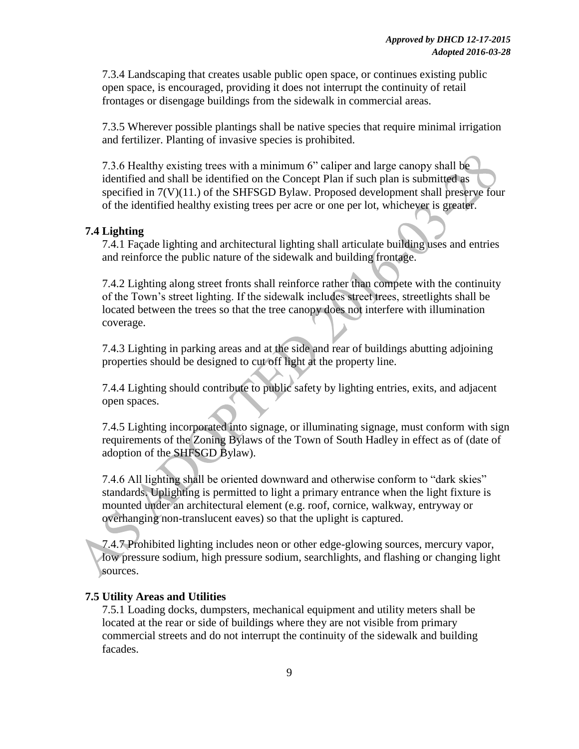7.3.4 Landscaping that creates usable public open space, or continues existing public open space, is encouraged, providing it does not interrupt the continuity of retail frontages or disengage buildings from the sidewalk in commercial areas.

7.3.5 Wherever possible plantings shall be native species that require minimal irrigation and fertilizer. Planting of invasive species is prohibited.

7.3.6 Healthy existing trees with a minimum 6" caliper and large canopy shall be identified and shall be identified on the Concept Plan if such plan is submitted as specified in 7(V)(11.) of the SHFSGD Bylaw. Proposed development shall preserve four of the identified healthy existing trees per acre or one per lot, whichever is greater.

#### **7.4 Lighting**

7.4.1 Façade lighting and architectural lighting shall articulate building uses and entries and reinforce the public nature of the sidewalk and building frontage.

7.4.2 Lighting along street fronts shall reinforce rather than compete with the continuity of the Town's street lighting. If the sidewalk includes street trees, streetlights shall be located between the trees so that the tree canopy does not interfere with illumination coverage.

7.4.3 Lighting in parking areas and at the side and rear of buildings abutting adjoining properties should be designed to cut off light at the property line.

7.4.4 Lighting should contribute to public safety by lighting entries, exits, and adjacent open spaces.

7.4.5 Lighting incorporated into signage, or illuminating signage, must conform with sign requirements of the Zoning Bylaws of the Town of South Hadley in effect as of (date of adoption of the SHFSGD Bylaw).

7.4.6 All lighting shall be oriented downward and otherwise conform to "dark skies" standards. Uplighting is permitted to light a primary entrance when the light fixture is mounted under an architectural element (e.g. roof, cornice, walkway, entryway or overhanging non-translucent eaves) so that the uplight is captured.

7.4.7 Prohibited lighting includes neon or other edge-glowing sources, mercury vapor, low pressure sodium, high pressure sodium, searchlights, and flashing or changing light sources.

#### **7.5 Utility Areas and Utilities**

7.5.1 Loading docks, dumpsters, mechanical equipment and utility meters shall be located at the rear or side of buildings where they are not visible from primary commercial streets and do not interrupt the continuity of the sidewalk and building facades.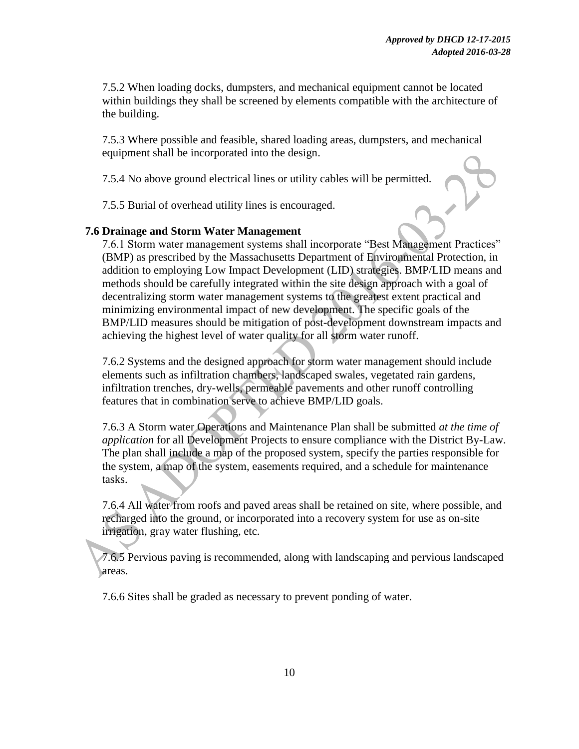7.5.2 When loading docks, dumpsters, and mechanical equipment cannot be located within buildings they shall be screened by elements compatible with the architecture of the building.

7.5.3 Where possible and feasible, shared loading areas, dumpsters, and mechanical equipment shall be incorporated into the design.

7.5.4 No above ground electrical lines or utility cables will be permitted.

7.5.5 Burial of overhead utility lines is encouraged.

## **7.6 Drainage and Storm Water Management**

7.6.1 Storm water management systems shall incorporate "Best Management Practices" (BMP) as prescribed by the Massachusetts Department of Environmental Protection, in addition to employing Low Impact Development (LID) strategies. BMP/LID means and methods should be carefully integrated within the site design approach with a goal of decentralizing storm water management systems to the greatest extent practical and minimizing environmental impact of new development. The specific goals of the BMP/LID measures should be mitigation of post-development downstream impacts and achieving the highest level of water quality for all storm water runoff.

7.6.2 Systems and the designed approach for storm water management should include elements such as infiltration chambers, landscaped swales, vegetated rain gardens, infiltration trenches, dry-wells, permeable pavements and other runoff controlling features that in combination serve to achieve BMP/LID goals.

7.6.3 A Storm water Operations and Maintenance Plan shall be submitted *at the time of application* for all Development Projects to ensure compliance with the District By-Law. The plan shall include a map of the proposed system, specify the parties responsible for the system, a map of the system, easements required, and a schedule for maintenance tasks.

7.6.4 All water from roofs and paved areas shall be retained on site, where possible, and recharged into the ground, or incorporated into a recovery system for use as on-site irrigation, gray water flushing, etc.

7.6.5 Pervious paving is recommended, along with landscaping and pervious landscaped areas.

7.6.6 Sites shall be graded as necessary to prevent ponding of water.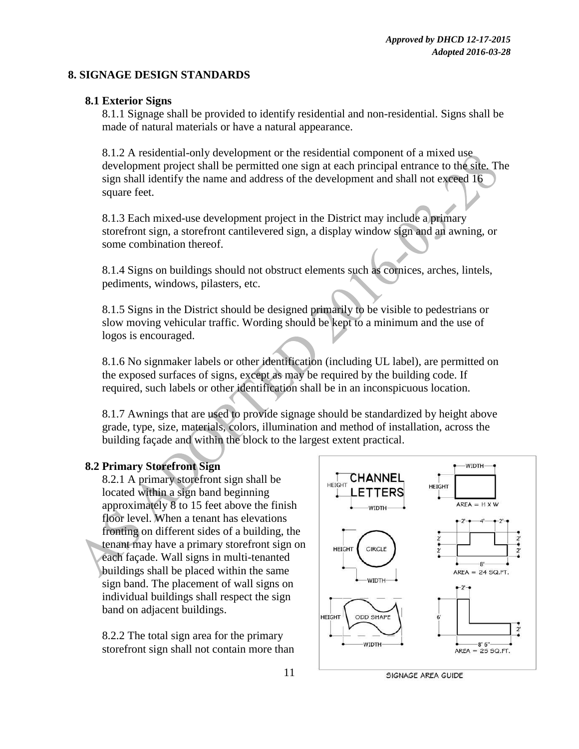### **8. SIGNAGE DESIGN STANDARDS**

### **8.1 Exterior Signs**

8.1.1 Signage shall be provided to identify residential and non-residential. Signs shall be made of natural materials or have a natural appearance.

8.1.2 A residential-only development or the residential component of a mixed use development project shall be permitted one sign at each principal entrance to the site. The sign shall identify the name and address of the development and shall not exceed 16 square feet.

8.1.3 Each mixed-use development project in the District may include a primary storefront sign, a storefront cantilevered sign, a display window sign and an awning, or some combination thereof.

8.1.4 Signs on buildings should not obstruct elements such as cornices, arches, lintels, pediments, windows, pilasters, etc.

8.1.5 Signs in the District should be designed primarily to be visible to pedestrians or slow moving vehicular traffic. Wording should be kept to a minimum and the use of logos is encouraged.

8.1.6 No signmaker labels or other identification (including UL label), are permitted on the exposed surfaces of signs, except as may be required by the building code. If required, such labels or other identification shall be in an inconspicuous location.

8.1.7 Awnings that are used to provide signage should be standardized by height above grade, type, size, materials, colors, illumination and method of installation, across the building façade and within the block to the largest extent practical.

## **8.2 Primary Storefront Sign**

8.2.1 A primary storefront sign shall be located within a sign band beginning approximately 8 to 15 feet above the finish floor level. When a tenant has elevations fronting on different sides of a building, the tenant may have a primary storefront sign on each façade. Wall signs in multi-tenanted buildings shall be placed within the same sign band. The placement of wall signs on individual buildings shall respect the sign band on adjacent buildings.

8.2.2 The total sign area for the primary storefront sign shall not contain more than

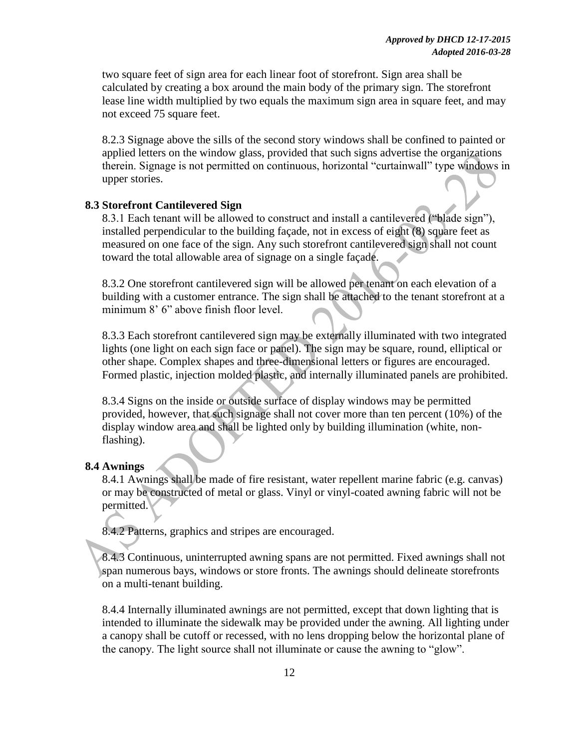two square feet of sign area for each linear foot of storefront. Sign area shall be calculated by creating a box around the main body of the primary sign. The storefront lease line width multiplied by two equals the maximum sign area in square feet, and may not exceed 75 square feet.

8.2.3 Signage above the sills of the second story windows shall be confined to painted or applied letters on the window glass, provided that such signs advertise the organizations therein. Signage is not permitted on continuous, horizontal "curtainwall" type windows in upper stories.

#### **8.3 Storefront Cantilevered Sign**

8.3.1 Each tenant will be allowed to construct and install a cantilevered ("blade sign"), installed perpendicular to the building façade, not in excess of eight (8) square feet as measured on one face of the sign. Any such storefront cantilevered sign shall not count toward the total allowable area of signage on a single façade.

8.3.2 One storefront cantilevered sign will be allowed per tenant on each elevation of a building with a customer entrance. The sign shall be attached to the tenant storefront at a minimum 8' 6" above finish floor level.

8.3.3 Each storefront cantilevered sign may be externally illuminated with two integrated lights (one light on each sign face or panel). The sign may be square, round, elliptical or other shape. Complex shapes and three-dimensional letters or figures are encouraged. Formed plastic, injection molded plastic, and internally illuminated panels are prohibited.

8.3.4 Signs on the inside or outside surface of display windows may be permitted provided, however, that such signage shall not cover more than ten percent (10%) of the display window area and shall be lighted only by building illumination (white, nonflashing).

#### **8.4 Awnings**

8.4.1 Awnings shall be made of fire resistant, water repellent marine fabric (e.g. canvas) or may be constructed of metal or glass. Vinyl or vinyl-coated awning fabric will not be permitted.

8.4.2 Patterns, graphics and stripes are encouraged.

8.4.3 Continuous, uninterrupted awning spans are not permitted. Fixed awnings shall not span numerous bays, windows or store fronts. The awnings should delineate storefronts on a multi-tenant building.

8.4.4 Internally illuminated awnings are not permitted, except that down lighting that is intended to illuminate the sidewalk may be provided under the awning. All lighting under a canopy shall be cutoff or recessed, with no lens dropping below the horizontal plane of the canopy. The light source shall not illuminate or cause the awning to "glow".